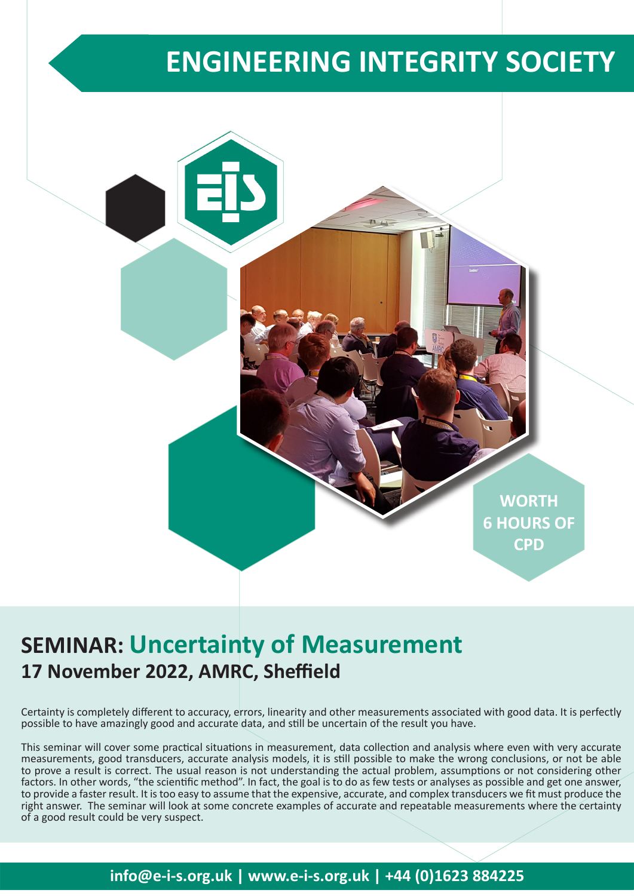# **ENGINEERING INTEGRITY SOCIETY**



## **SEMINAR: Uncertainty of Measurement 17 November 2022, AMRC, Sheffield**

Certainty is completely different to accuracy, errors, linearity and other measurements associated with good data. It is perfectly possible to have amazingly good and accurate data, and still be uncertain of the result you have.

This seminar will cover some practical situations in measurement, data collection and analysis where even with very accurate measurements, good transducers, accurate analysis models, it is still possible to make the wrong conclusions, or not be able to prove a result is correct. The usual reason is not understanding the actual problem, assumptions or not considering other factors. In other words, "the scientific method". In fact, the goal is to do as few tests or analyses as possible and get one answer, to provide a faster result. It is too easy to assume that the expensive, accurate, and complex transducers we fit must produce the right answer. The seminar will look at some concrete examples of accurate and repeatable measurements where the certainty of a good result could be very suspect.

## **info@e-i-s.org.uk | www.e-i-s.org.uk | +44 (0)1623 884225**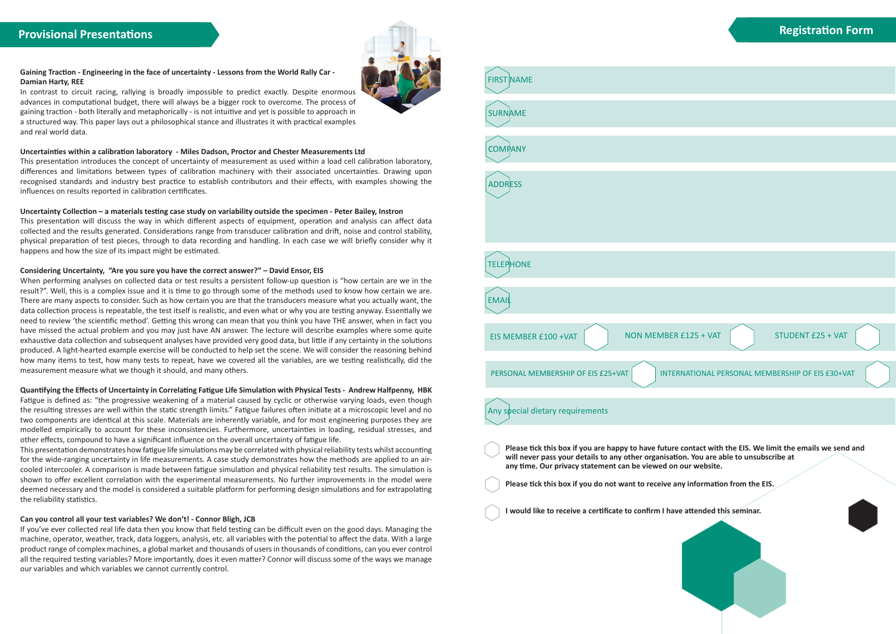#### **Gaining Traction - Engineering in the face of uncertainty - Lessons from the World Rally Car - Damian Harty, REE**

In contrast to circuit racing, rallying is broadly impossible to predict exactly. Despite enormous advances in computational budget, there will always be a bigger rock to overcome. The process of gaining traction - both literally and metaphorically - is not intuitive and yet is possible to approach in a structured way. This paper lays out a philosophical stance and illustrates it with practical examples and real world data.

#### **Uncertainties within a calibration laboratory - Miles Dadson, Proctor and Chester Measurements Ltd**

This presentation introduces the concept of uncertainty of measurement as used within a load cell calibration laboratory, differences and limitations between types of calibration machinery with their associated uncertainties. Drawing upon recognised standards and industry best practice to establish contributors and their effects, with examples showing the influences on results reported in calibration certificates.

#### **Uncertainty Collection – a materials testing case study on variability outside the specimen - Peter Bailey, Instron**

This presentation will discuss the way in which different aspects of equipment, operation and analysis can affect data collected and the results generated. Considerations range from transducer calibration and drift, noise and control stability, physical preparation of test pieces, through to data recording and handling. In each case we will briefly consider why it happens and how the size of its impact might be estimated.

#### **Considering Uncertainty, "Are you sure you have the correct answer?" – David Ensor, EIS**

When performing analyses on collected data or test results a persistent follow-up question is "how certain are we in the result?". Well, this is a complex issue and it is time to go through some of the methods used to know how certain we are. There are many aspects to consider. Such as how certain you are that the transducers measure what you actually want, the data collection process is repeatable, the test itself is realistic, and even what or why you are testing anyway. Essentially we need to review 'the scientific method'. Getting this wrong can mean that you think you have THE answer, when in fact you have missed the actual problem and you may just have AN answer. The lecture will describe examples where some quite exhaustive data collection and subsequent analyses have provided very good data, but little if any certainty in the solutions produced. A light-hearted example exercise will be conducted to help set the scene. We will consider the reasoning behind how many items to test, how many tests to repeat, have we covered all the variables, are we testing realistically, did the measurement measure what we though it should, and many others.

#### **Quantifying the Effects of Uncertainty in Correlating Fatigue Life Simulation with Physical Tests - Andrew Halfpenny, HBK**

Fatigue is defined as: "the progressive weakening of a material caused by cyclic or otherwise varying loads, even though the resulting stresses are well within the static strength limits." Fatigue failures often initiate at a microscopic level and no two components are identical at this scale. Materials are inherently variable, and for most engineering purposes they are modelled empirically to account for these inconsistencies. Furthermore, uncertainties in loading, residual stresses, and other effects, compound to have a significant influence on the overall uncertainty of fatigue life.

This presentation demonstrates how fatigue life simulations may be correlated with physical reliability tests whilst accounting for the wide-ranging uncertainty in life measurements. A case study demonstrates how the methods are applied to an aircooled intercooler. A comparison is made between fatigue simulation and physical reliability test results. The simulation is shown to offer excellent correlation with the experimental measurements. No further improvements in the model were deemed necessary and the model is considered a suitable platform for performing design simulations and for extrapolating the reliability statistics.

#### **Can you control all your test variables? We don't! - Connor Bligh, JCB**

If you've ever collected real life data then you know that field testing can be difficult even on the good days. Managing the machine, operator, weather, track, data loggers, analysis, etc. all variables with the potential to affect the data. With a large product range of complex machines, a global market and thousands of users in thousands of conditions, can you ever control all the required testing variables? More importantly, does it even matter? Connor will discuss some of the ways we manage our variables and which variables we cannot currently control.





### **Registration Form**

| <b>STUDENT £25 + VAT</b><br>$R$ £125 + VAT                                                                                                     |
|------------------------------------------------------------------------------------------------------------------------------------------------|
|                                                                                                                                                |
| RNATIONAL PERSONAL MEMBERSHIP OF EIS £30+VAT                                                                                                   |
|                                                                                                                                                |
|                                                                                                                                                |
| e contact with the EIS. We limit the emails we send and<br>ion. You are able to unsubscribe at<br>our website.<br>ny information from the EIS. |
|                                                                                                                                                |
| re attended this seminar.                                                                                                                      |
|                                                                                                                                                |
|                                                                                                                                                |